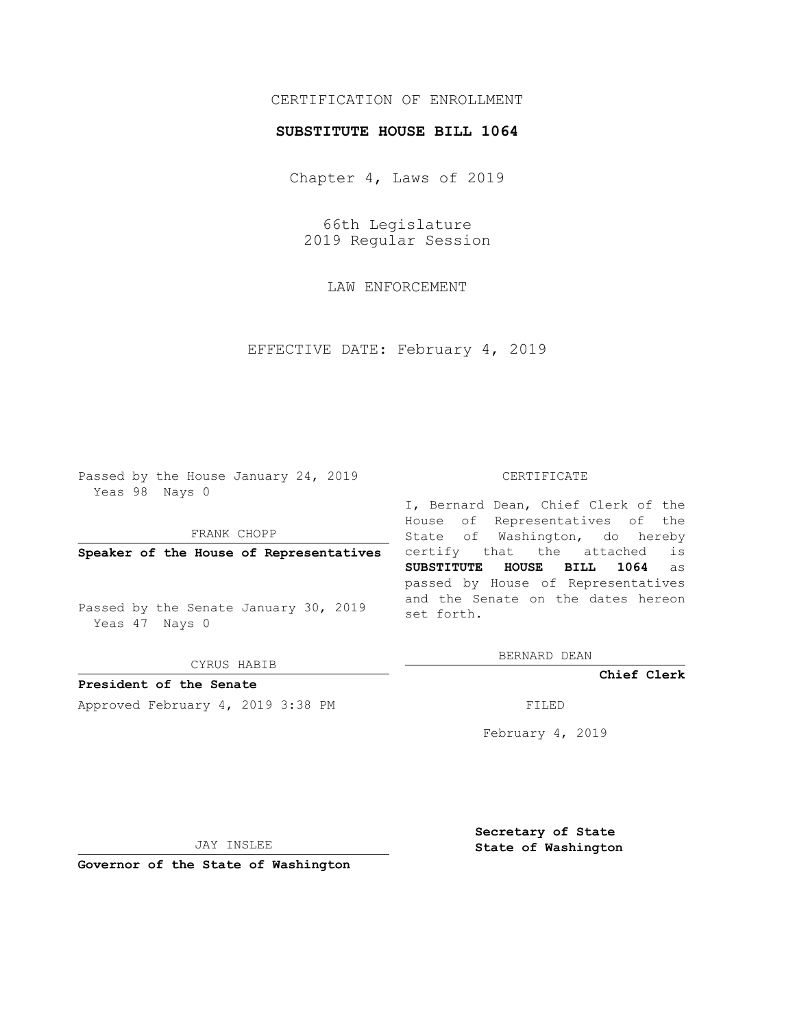# CERTIFICATION OF ENROLLMENT

### **SUBSTITUTE HOUSE BILL 1064**

Chapter 4, Laws of 2019

66th Legislature 2019 Regular Session

LAW ENFORCEMENT

EFFECTIVE DATE: February 4, 2019

Passed by the House January 24, 2019 Yeas 98 Nays 0

FRANK CHOPP

**Speaker of the House of Representatives**

Passed by the Senate January 30, 2019 Yeas 47 Nays 0

CYRUS HABIB

**President of the Senate**

Approved February 4, 2019 3:38 PM

#### CERTIFICATE

I, Bernard Dean, Chief Clerk of the House of Representatives of the State of Washington, do hereby certify that the attached is **SUBSTITUTE HOUSE BILL 1064** as passed by House of Representatives and the Senate on the dates hereon set forth.

BERNARD DEAN

**Chief Clerk**

February 4, 2019

JAY INSLEE

**Governor of the State of Washington**

**Secretary of State State of Washington**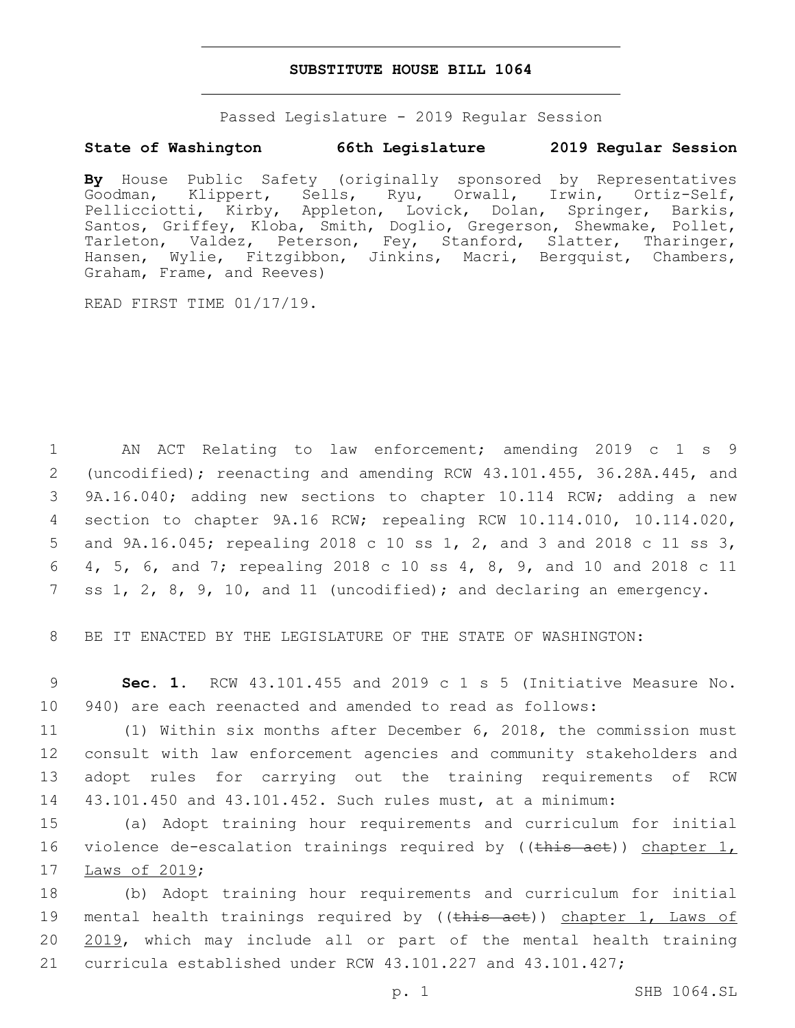### **SUBSTITUTE HOUSE BILL 1064**

Passed Legislature - 2019 Regular Session

# **State of Washington 66th Legislature 2019 Regular Session**

**By** House Public Safety (originally sponsored by Representatives Goodman, Klippert, Sells, Ryu, Orwall, Pellicciotti, Kirby, Appleton, Lovick, Dolan, Springer, Barkis, Santos, Griffey, Kloba, Smith, Doglio, Gregerson, Shewmake, Pollet, Tarleton, Valdez, Peterson, Fey, Stanford, Slatter, Tharinger, Hansen, Wylie, Fitzgibbon, Jinkins, Macri, Bergquist, Chambers, Graham, Frame, and Reeves)

READ FIRST TIME 01/17/19.

 AN ACT Relating to law enforcement; amending 2019 c 1 s 9 (uncodified); reenacting and amending RCW 43.101.455, 36.28A.445, and 9A.16.040; adding new sections to chapter 10.114 RCW; adding a new section to chapter 9A.16 RCW; repealing RCW 10.114.010, 10.114.020, and 9A.16.045; repealing 2018 c 10 ss 1, 2, and 3 and 2018 c 11 ss 3, 4, 5, 6, and 7; repealing 2018 c 10 ss 4, 8, 9, and 10 and 2018 c 11 ss 1, 2, 8, 9, 10, and 11 (uncodified); and declaring an emergency.

8 BE IT ENACTED BY THE LEGISLATURE OF THE STATE OF WASHINGTON:

9 **Sec. 1.** RCW 43.101.455 and 2019 c 1 s 5 (Initiative Measure No. 10 940) are each reenacted and amended to read as follows:

 (1) Within six months after December 6, 2018, the commission must consult with law enforcement agencies and community stakeholders and adopt rules for carrying out the training requirements of RCW 43.101.450 and 43.101.452. Such rules must, at a minimum:

15 (a) Adopt training hour requirements and curriculum for initial 16 violence de-escalation trainings required by ((this act)) chapter 1, 17 Laws of 2019;

18 (b) Adopt training hour requirements and curriculum for initial 19 mental health trainings required by ((this act)) chapter 1, Laws of 20 2019, which may include all or part of the mental health training 21 curricula established under RCW 43.101.227 and 43.101.427;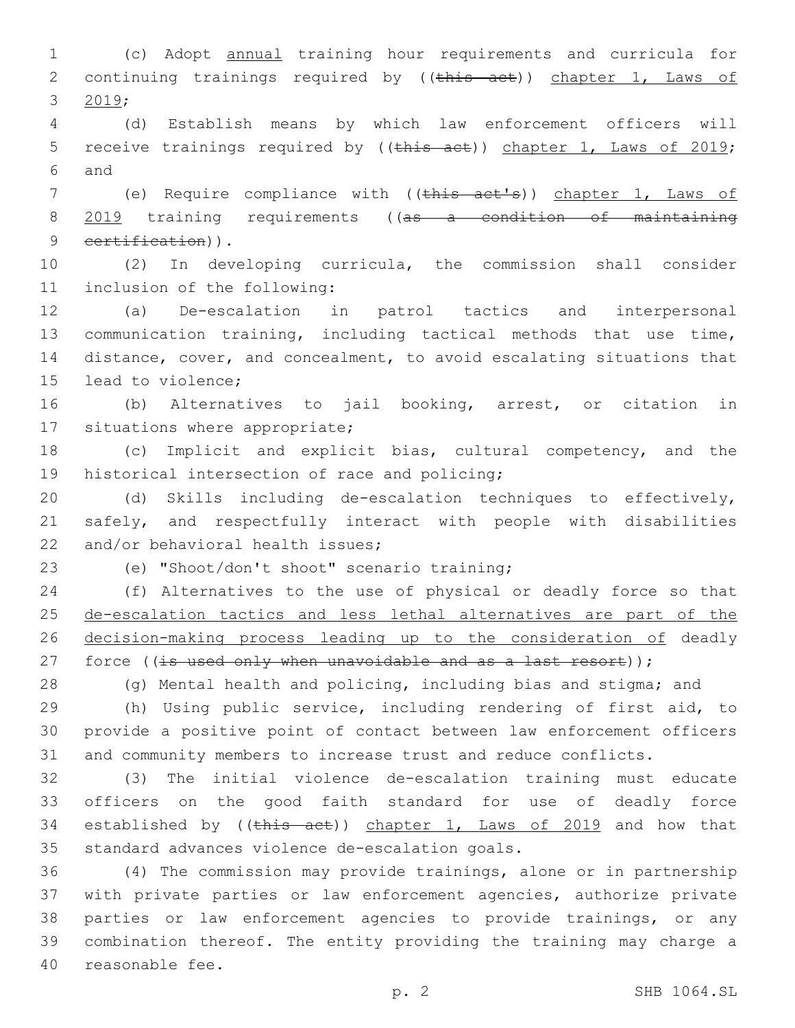1 (c) Adopt annual training hour requirements and curricula for 2 continuing trainings required by ((this act)) chapter 1, Laws of 3  $2019;$ 

4 (d) Establish means by which law enforcement officers will 5 receive trainings required by ((this act)) chapter 1, Laws of 2019; and6

7 (e) Require compliance with ((this act's)) chapter 1, Laws of 8 2019 training requirements ((as a condition of maintaining 9 certification)).

10 (2) In developing curricula, the commission shall consider 11 inclusion of the following:

 (a) De-escalation in patrol tactics and interpersonal communication training, including tactical methods that use time, distance, cover, and concealment, to avoid escalating situations that 15 lead to violence:

16 (b) Alternatives to jail booking, arrest, or citation in 17 situations where appropriate;

18 (c) Implicit and explicit bias, cultural competency, and the 19 historical intersection of race and policing;

20 (d) Skills including de-escalation techniques to effectively, 21 safely, and respectfully interact with people with disabilities 22 and/or behavioral health issues:

(e) "Shoot/don't shoot" scenario training;23

24 (f) Alternatives to the use of physical or deadly force so that 25 de-escalation tactics and less lethal alternatives are part of the 26 decision-making process leading up to the consideration of deadly 27 force ((is used only when unavoidable and as a last resort));

28 (g) Mental health and policing, including bias and stigma; and

29 (h) Using public service, including rendering of first aid, to 30 provide a positive point of contact between law enforcement officers 31 and community members to increase trust and reduce conflicts.

32 (3) The initial violence de-escalation training must educate 33 officers on the good faith standard for use of deadly force 34 established by ((this act)) chapter 1, Laws of 2019 and how that 35 standard advances violence de-escalation goals.

 (4) The commission may provide trainings, alone or in partnership with private parties or law enforcement agencies, authorize private parties or law enforcement agencies to provide trainings, or any combination thereof. The entity providing the training may charge a 40 reasonable fee.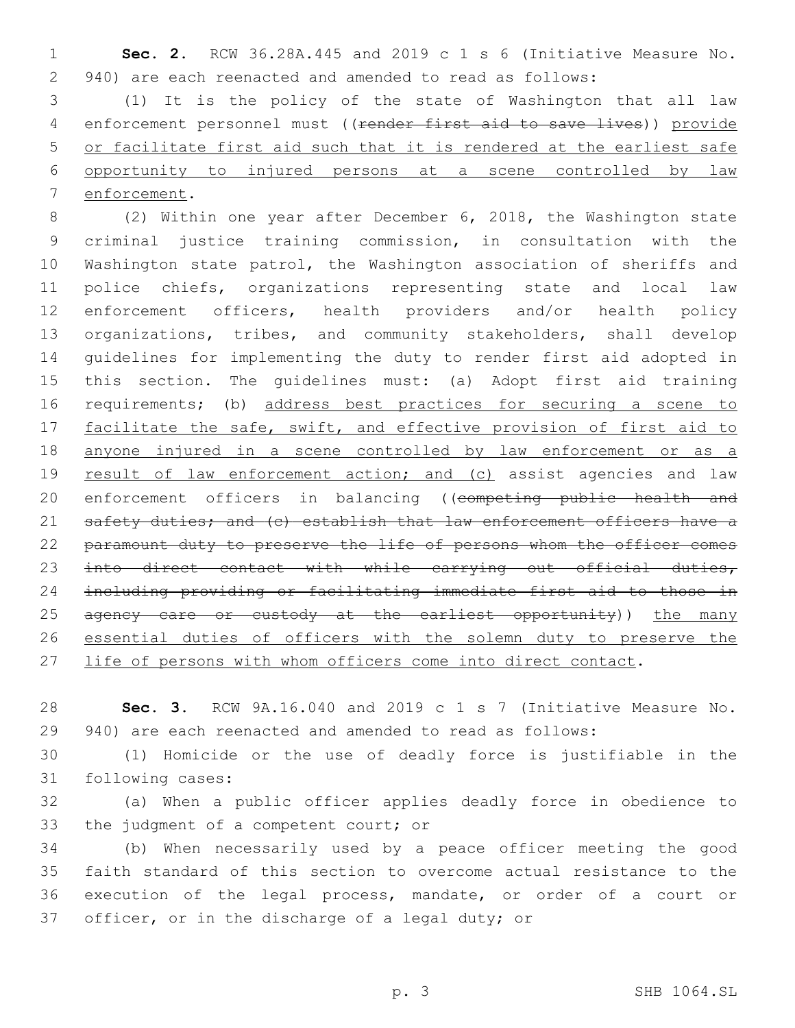**Sec. 2.** RCW 36.28A.445 and 2019 c 1 s 6 (Initiative Measure No. 940) are each reenacted and amended to read as follows:

 (1) It is the policy of the state of Washington that all law 4 enforcement personnel must ((render first aid to save lives)) provide or facilitate first aid such that it is rendered at the earliest safe opportunity to injured persons at a scene controlled by law 7 enforcement.

 (2) Within one year after December 6, 2018, the Washington state criminal justice training commission, in consultation with the Washington state patrol, the Washington association of sheriffs and police chiefs, organizations representing state and local law enforcement officers, health providers and/or health policy organizations, tribes, and community stakeholders, shall develop guidelines for implementing the duty to render first aid adopted in this section. The guidelines must: (a) Adopt first aid training 16 requirements; (b) address best practices for securing a scene to 17 facilitate the safe, swift, and effective provision of first aid to anyone injured in a scene controlled by law enforcement or as a 19 result of law enforcement action; and (c) assist agencies and law 20 enforcement officers in balancing ((competing public health and 21 safety duties; and (c) establish that law enforcement officers have a 22 paramount duty to preserve the life of persons whom the officer comes 23 into direct contact with while carrying out official duties, including providing or facilitating immediate first aid to those in 25 agency care or custody at the earliest opportunity)) the many essential duties of officers with the solemn duty to preserve the 27 life of persons with whom officers come into direct contact.

 **Sec. 3.** RCW 9A.16.040 and 2019 c 1 s 7 (Initiative Measure No. 940) are each reenacted and amended to read as follows:

 (1) Homicide or the use of deadly force is justifiable in the 31 following cases:

 (a) When a public officer applies deadly force in obedience to 33 the judgment of a competent court; or

 (b) When necessarily used by a peace officer meeting the good faith standard of this section to overcome actual resistance to the execution of the legal process, mandate, or order of a court or 37 officer, or in the discharge of a legal duty; or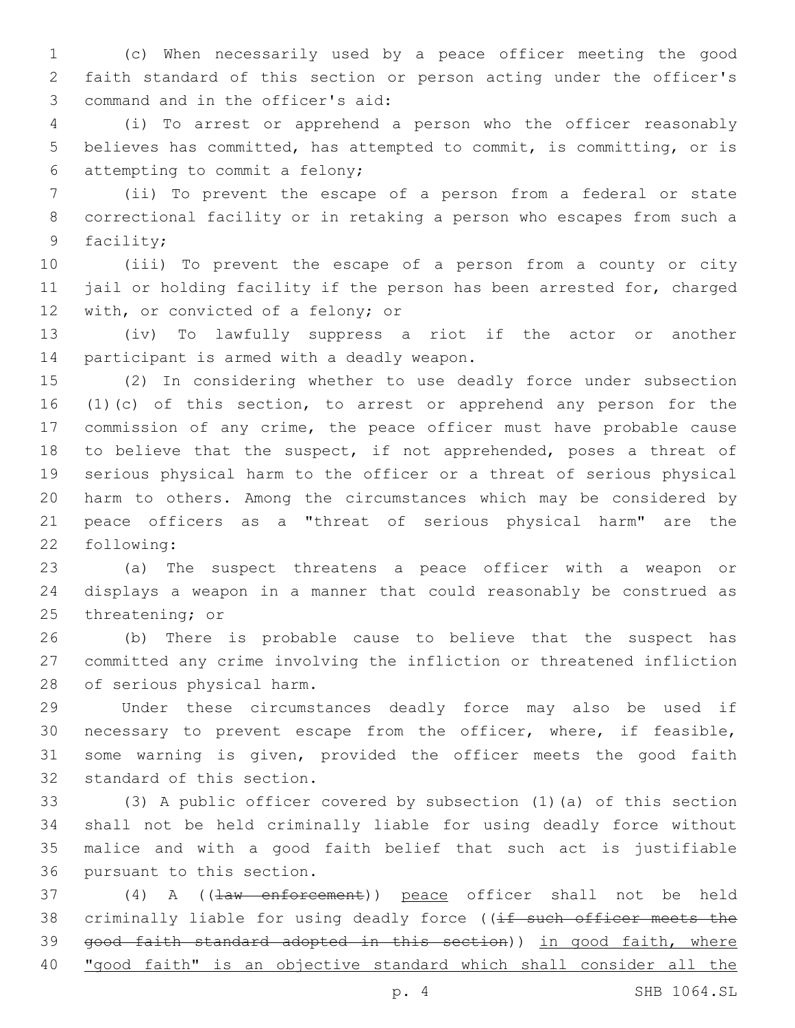(c) When necessarily used by a peace officer meeting the good faith standard of this section or person acting under the officer's command and in the officer's aid:3

 (i) To arrest or apprehend a person who the officer reasonably believes has committed, has attempted to commit, is committing, or is attempting to commit a felony;6

 (ii) To prevent the escape of a person from a federal or state correctional facility or in retaking a person who escapes from such a 9 facility;

 (iii) To prevent the escape of a person from a county or city jail or holding facility if the person has been arrested for, charged 12 with, or convicted of a felony; or

 (iv) To lawfully suppress a riot if the actor or another 14 participant is armed with a deadly weapon.

 (2) In considering whether to use deadly force under subsection (1)(c) of this section, to arrest or apprehend any person for the commission of any crime, the peace officer must have probable cause 18 to believe that the suspect, if not apprehended, poses a threat of serious physical harm to the officer or a threat of serious physical harm to others. Among the circumstances which may be considered by peace officers as a "threat of serious physical harm" are the 22 following:

 (a) The suspect threatens a peace officer with a weapon or displays a weapon in a manner that could reasonably be construed as 25 threatening; or

 (b) There is probable cause to believe that the suspect has committed any crime involving the infliction or threatened infliction 28 of serious physical harm.

 Under these circumstances deadly force may also be used if necessary to prevent escape from the officer, where, if feasible, some warning is given, provided the officer meets the good faith 32 standard of this section.

 (3) A public officer covered by subsection (1)(a) of this section shall not be held criminally liable for using deadly force without malice and with a good faith belief that such act is justifiable 36 pursuant to this section.

37 (4) A ((law enforcement)) peace officer shall not be held 38 criminally liable for using deadly force ((if such officer meets the 39 good faith standard adopted in this section)) in good faith, where "good faith" is an objective standard which shall consider all the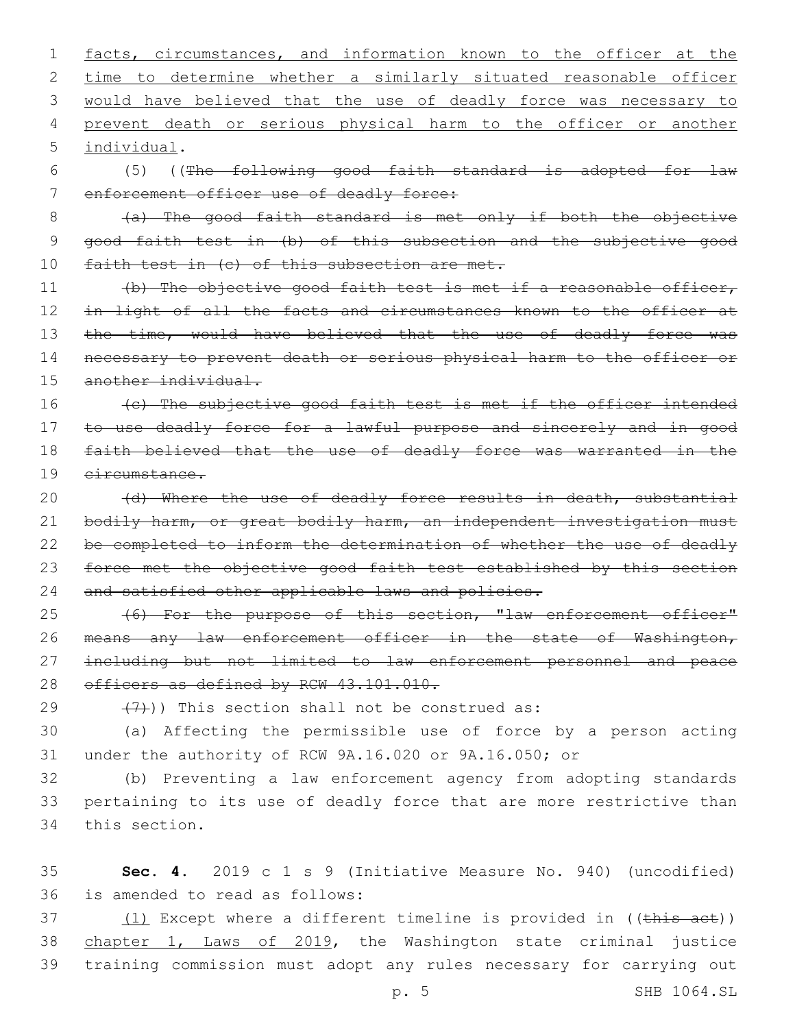1 facts, circumstances, and information known to the officer at the 2 time to determine whether a similarly situated reasonable officer 3 would have believed that the use of deadly force was necessary to 4 prevent death or serious physical harm to the officer or another individual.5

6 (5) ((The following good faith standard is adopted for law 7 enforcement officer use of deadly force:

8 (a) The good faith standard is met only if both the objective 9 good faith test in (b) of this subsection and the subjective good 10 faith test in (c) of this subsection are met.

11 (b) The objective good faith test is met if a reasonable officer, 12 in light of all the facts and circumstances known to the officer at 13 the time, would have believed that the use of deadly force was 14 necessary to prevent death or serious physical harm to the officer or 15 another individual.

16 (c) The subjective good faith test is met if the officer intended to use deadly force for a lawful purpose and sincerely and in good faith believed that the use of deadly force was warranted in the circumstance.

20 (d) Where the use of deadly force results in death, substantial 21 bodily harm, or great bodily harm, an independent investigation must 22 be completed to inform the determination of whether the use of deadly 23 force met the objective good faith test established by this section 24 and satisfied other applicable laws and policies.

25 (6) For the purpose of this section, "law enforcement officer" 26 means any law enforcement officer in the state of Washington, 27 including but not limited to law enforcement personnel and peace 28 officers as defined by RCW 43.101.010.

 $(7)$ )) This section shall not be construed as:

30 (a) Affecting the permissible use of force by a person acting 31 under the authority of RCW 9A.16.020 or 9A.16.050; or

32 (b) Preventing a law enforcement agency from adopting standards 33 pertaining to its use of deadly force that are more restrictive than 34 this section.

35 **Sec. 4.** 2019 c 1 s 9 (Initiative Measure No. 940) (uncodified) 36 is amended to read as follows:

37 (1) Except where a different timeline is provided in ((this act)) 38 chapter 1, Laws of 2019, the Washington state criminal justice 39 training commission must adopt any rules necessary for carrying out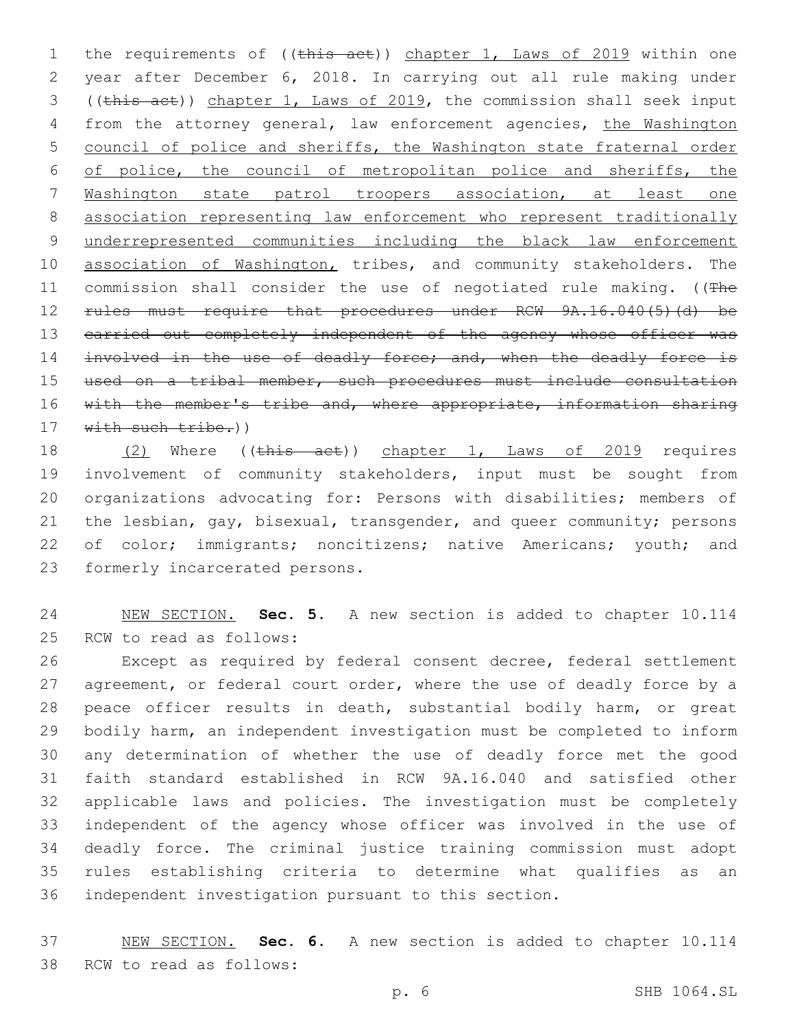1 the requirements of ((this act)) chapter 1, Laws of 2019 within one year after December 6, 2018. In carrying out all rule making under ((this act)) chapter 1, Laws of 2019, the commission shall seek input from the attorney general, law enforcement agencies, the Washington council of police and sheriffs, the Washington state fraternal order of police, the council of metropolitan police and sheriffs, the Washington state patrol troopers association, at least one association representing law enforcement who represent traditionally underrepresented communities including the black law enforcement 10 association of Washington, tribes, and community stakeholders. The 11 commission shall consider the use of negotiated rule making. ((The 12 rules must require that procedures under RCW 9A.16.040(5)(d) be 13 carried out completely independent of the agency whose officer was 14 involved in the use of deadly force; and, when the deadly force is used on a tribal member, such procedures must include consultation 16 with the member's tribe and, where appropriate, information sharing 17 with such tribe.))

18 (2) Where ((this act)) chapter 1, Laws of 2019 requires involvement of community stakeholders, input must be sought from organizations advocating for: Persons with disabilities; members of the lesbian, gay, bisexual, transgender, and queer community; persons of color; immigrants; noncitizens; native Americans; youth; and 23 formerly incarcerated persons.

 NEW SECTION. **Sec. 5.** A new section is added to chapter 10.114 25 RCW to read as follows:

 Except as required by federal consent decree, federal settlement 27 agreement, or federal court order, where the use of deadly force by a peace officer results in death, substantial bodily harm, or great bodily harm, an independent investigation must be completed to inform any determination of whether the use of deadly force met the good faith standard established in RCW 9A.16.040 and satisfied other applicable laws and policies. The investigation must be completely independent of the agency whose officer was involved in the use of deadly force. The criminal justice training commission must adopt rules establishing criteria to determine what qualifies as an independent investigation pursuant to this section.

 NEW SECTION. **Sec. 6.** A new section is added to chapter 10.114 38 RCW to read as follows: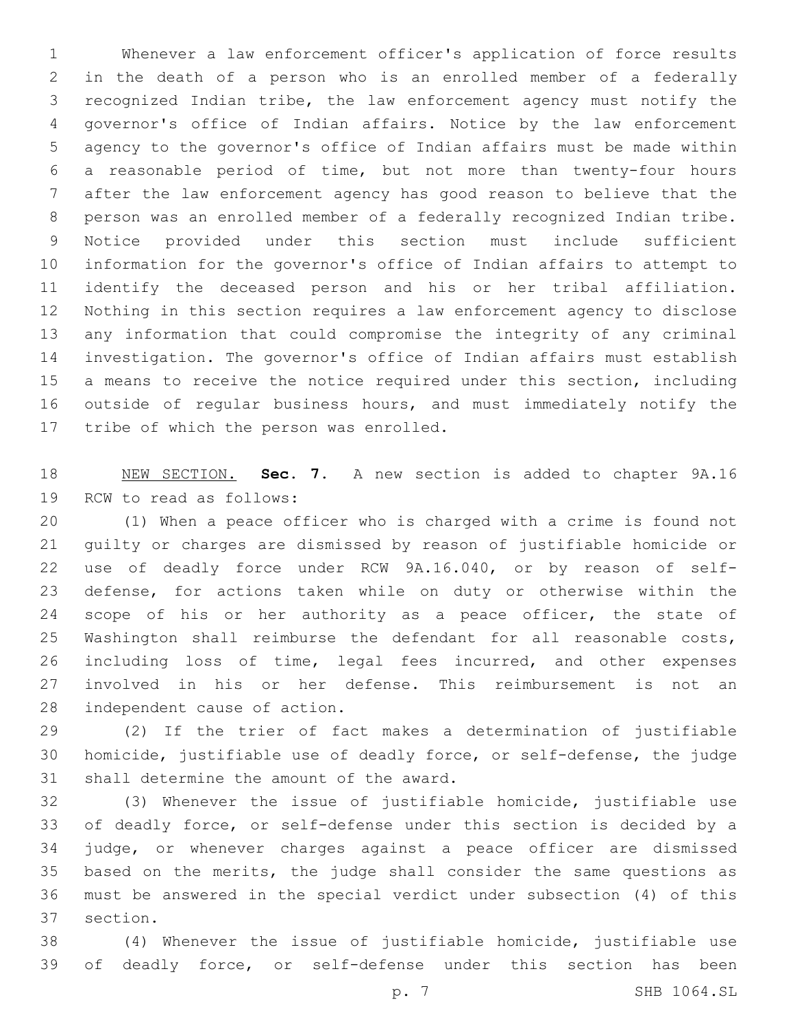Whenever a law enforcement officer's application of force results in the death of a person who is an enrolled member of a federally recognized Indian tribe, the law enforcement agency must notify the governor's office of Indian affairs. Notice by the law enforcement agency to the governor's office of Indian affairs must be made within a reasonable period of time, but not more than twenty-four hours after the law enforcement agency has good reason to believe that the person was an enrolled member of a federally recognized Indian tribe. Notice provided under this section must include sufficient information for the governor's office of Indian affairs to attempt to identify the deceased person and his or her tribal affiliation. Nothing in this section requires a law enforcement agency to disclose any information that could compromise the integrity of any criminal investigation. The governor's office of Indian affairs must establish 15 a means to receive the notice required under this section, including outside of regular business hours, and must immediately notify the 17 tribe of which the person was enrolled.

 NEW SECTION. **Sec. 7.** A new section is added to chapter 9A.16 19 RCW to read as follows:

 (1) When a peace officer who is charged with a crime is found not guilty or charges are dismissed by reason of justifiable homicide or use of deadly force under RCW 9A.16.040, or by reason of self- defense, for actions taken while on duty or otherwise within the 24 scope of his or her authority as a peace officer, the state of Washington shall reimburse the defendant for all reasonable costs, including loss of time, legal fees incurred, and other expenses involved in his or her defense. This reimbursement is not an 28 independent cause of action.

 (2) If the trier of fact makes a determination of justifiable homicide, justifiable use of deadly force, or self-defense, the judge 31 shall determine the amount of the award.

 (3) Whenever the issue of justifiable homicide, justifiable use of deadly force, or self-defense under this section is decided by a judge, or whenever charges against a peace officer are dismissed based on the merits, the judge shall consider the same questions as must be answered in the special verdict under subsection (4) of this 37 section.

 (4) Whenever the issue of justifiable homicide, justifiable use of deadly force, or self-defense under this section has been

p. 7 SHB 1064.SL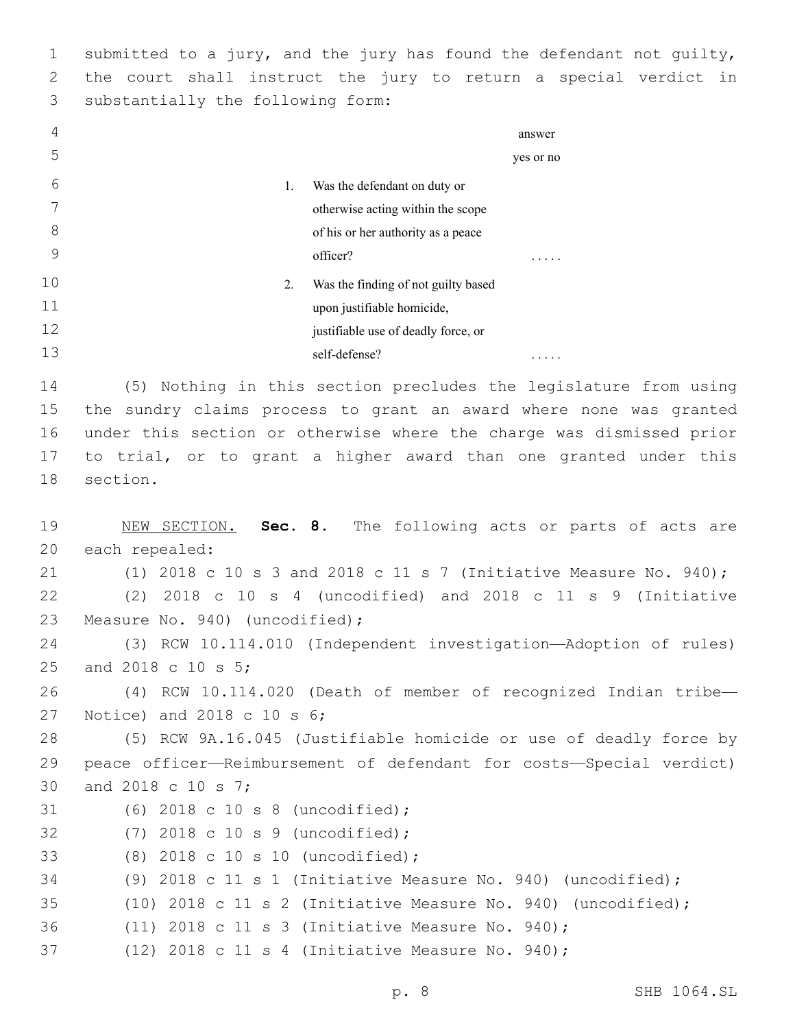1 submitted to a jury, and the jury has found the defendant not guilty, 2 the court shall instruct the jury to return a special verdict in 3 substantially the following form:

| 4  |                                           | answer    |  |
|----|-------------------------------------------|-----------|--|
| 5  |                                           | yes or no |  |
| 6  | 1.<br>Was the defendant on duty or        |           |  |
| 7  | otherwise acting within the scope         |           |  |
| 8  | of his or her authority as a peace        |           |  |
| 9  | officer?                                  | .         |  |
| 10 | 2.<br>Was the finding of not guilty based |           |  |
| 11 | upon justifiable homicide,                |           |  |
| 12 | justifiable use of deadly force, or       |           |  |
| 13 | self-defense?                             | .         |  |

 (5) Nothing in this section precludes the legislature from using the sundry claims process to grant an award where none was granted under this section or otherwise where the charge was dismissed prior to trial, or to grant a higher award than one granted under this 18 section.

```
19 NEW SECTION. Sec. 8. The following acts or parts of acts are
20 each repealed:
21 (1) 2018 c 10 s 3 and 2018 c 11 s 7 (Initiative Measure No. 940);
22 (2) 2018 c 10 s 4 (uncodified) and 2018 c 11 s 9 (Initiative
23 Measure No. 940) (uncodified);
24 (3) RCW 10.114.010 (Independent investigation—Adoption of rules)
25 and 2018 c 10 s 5;
26 (4) RCW 10.114.020 (Death of member of recognized Indian tribe—
27 Notice) and 2018 c 10 s 6;
28 (5) RCW 9A.16.045 (Justifiable homicide or use of deadly force by
29 peace officer—Reimbursement of defendant for costs—Special verdict)
30 and 2018 c 10 s 7;
31 (6) 2018 c 10 s 8 (uncodified);
(7) 2018 c 10 s 9 (uncodified);32
(8) 2018 c 10 s 10 (uncodified);33
34 (9) 2018 c 11 s 1 (Initiative Measure No. 940) (uncodified);
35 (10) 2018 c 11 s 2 (Initiative Measure No. 940) (uncodified);
36 (11) 2018 c 11 s 3 (Initiative Measure No. 940);
37 (12) 2018 c 11 s 4 (Initiative Measure No. 940);
```